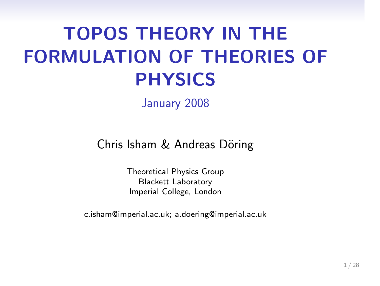# TOPOS THEORY IN THE FORMULATION OF THEORIES OF PHYSICS

January 2008

Chris Isham & Andreas Döring

Theoretical Physics Group Blackett Laboratory Imperial College, London

c.isham@imperial.ac.uk; a.doering@imperial.ac.uk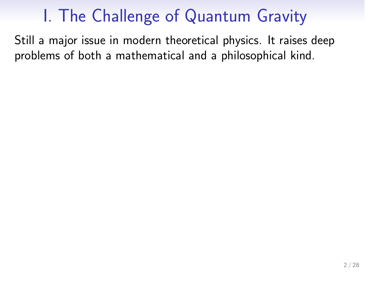# I. The Challenge of Quantum Gravity

Still a major issue in modern theoretical physics. It raises deep problems of both a mathematical and a philosophical kind.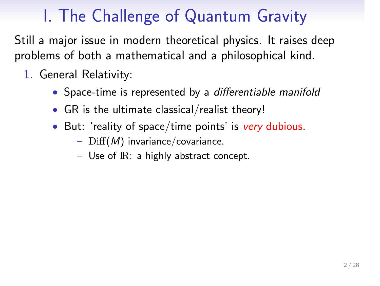# I. The Challenge of Quantum Gravity

Still a major issue in modern theoretical physics. It raises deep problems of both a mathematical and a philosophical kind.

- 1. General Relativity:
	- Space-time is represented by a differentiable manifold
	- GR is the ultimate classical/realist theory!
	- But: 'reality of space/time points' is very dubious.
		- $\mathrm{Diff}(M)$  invariance/covariance.
		- Use of IR: a highly abstract concept.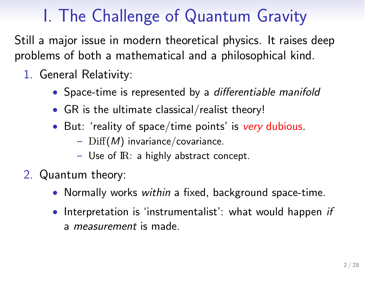# I. The Challenge of Quantum Gravity

Still a major issue in modern theoretical physics. It raises deep problems of both a mathematical and a philosophical kind.

- 1. General Relativity:
	- Space-time is represented by a differentiable manifold
	- GR is the ultimate classical/realist theory!
	- But: 'reality of space/time points' is very dubious.
		- $\mathrm{Diff}(M)$  invariance/covariance.
			- Use of IR: a highly abstract concept.
- 2. Quantum theory:
	- Normally works within a fixed, background space-time.
	- Interpretation is 'instrumentalist': what would happen if a measurement is made.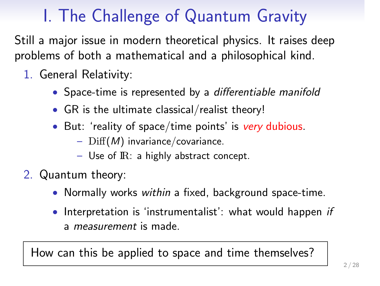# I. The Challenge of Quantum Gravity

Still a major issue in modern theoretical physics. It raises deep problems of both a mathematical and a philosophical kind.

- 1. General Relativity:
	- Space-time is represented by a differentiable manifold
	- GR is the ultimate classical/realist theory!
	- But: 'reality of space/time points' is very dubious.
		- $\mathrm{Diff}(M)$  invariance/covariance.
			- Use of IR: a highly abstract concept.
- 2. Quantum theory:
	- Normally works within a fixed, background space-time.
	- Interpretation is 'instrumentalist': what would happen if a measurement is made.

How can this be applied to space and time themselves?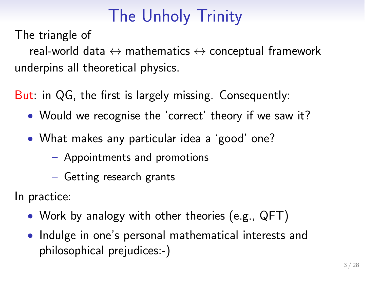## The Unholy Trinity

### The triangle of

real-world data  $\leftrightarrow$  mathematics  $\leftrightarrow$  conceptual framework underpins all theoretical physics.

But: in QG, the first is largely missing. Consequently:

- Would we recognise the 'correct' theory if we saw it?
- What makes any particular idea a 'good' one?
	- Appointments and promotions
	- Getting research grants

### In practice:

- Work by analogy with other theories (e.g., QFT)
- Indulge in one's personal mathematical interests and philosophical prejudices:-)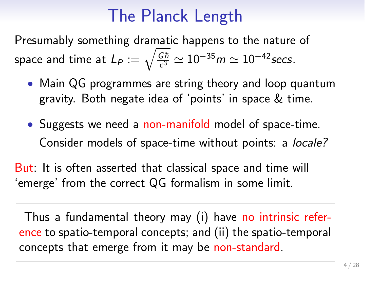## The Planck Length

Presumably something dramatic happens to the nature of space and time at  $L_P := \sqrt{\frac{G\hbar}{c^3}} \simeq 10^{-35} m \simeq 10^{-42}$  secs.

- Main QG programmes are string theory and loop quantum gravity. Both negate idea of 'points' in space & time.
- Suggests we need a non-manifold model of space-time. Consider models of space-time without points: a locale?

But: It is often asserted that classical space and time will 'emerge' from the correct QG formalism in some limit.

Thus a fundamental theory may (i) have no intrinsic reference to spatio-temporal concepts; and (ii) the spatio-temporal concepts that emerge from it may be non-standard.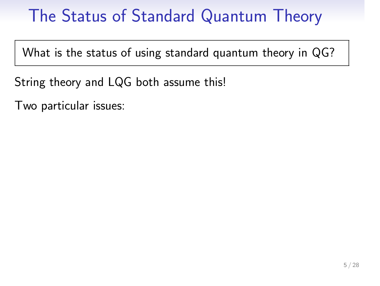# The Status of Standard Quantum Theory

What is the status of using standard quantum theory in QG?

String theory and LQG both assume this!

Two particular issues: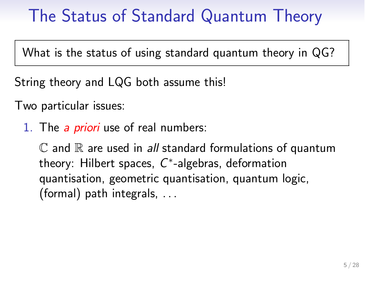# The Status of Standard Quantum Theory

What is the status of using standard quantum theory in QG?

String theory and LQG both assume this!

Two particular issues:

1. The a priori use of real numbers:

 $\mathbb C$  and  $\mathbb R$  are used in all standard formulations of quantum theory: Hilbert spaces, C∗-algebras, deformation quantisation, geometric quantisation, quantum logic, (formal) path integrals, . . .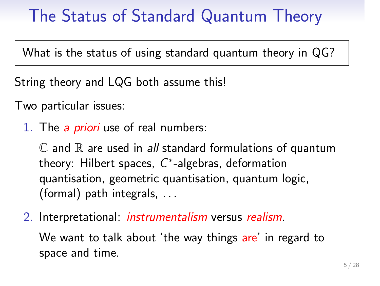## The Status of Standard Quantum Theory

What is the status of using standard quantum theory in QG?

String theory and LQG both assume this!

Two particular issues:

1. The a priori use of real numbers:

 $\mathbb C$  and  $\mathbb R$  are used in all standard formulations of quantum theory: Hilbert spaces, C∗-algebras, deformation quantisation, geometric quantisation, quantum logic, (formal) path integrals, . . .

2. Interpretational: *instrumentalism* versus realism.

We want to talk about 'the way things are' in regard to space and time.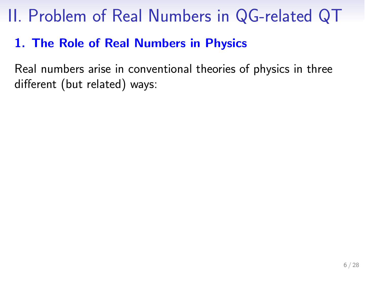# II. Problem of Real Numbers in QG-related QT

### 1. The Role of Real Numbers in Physics

Real numbers arise in conventional theories of physics in three different (but related) ways: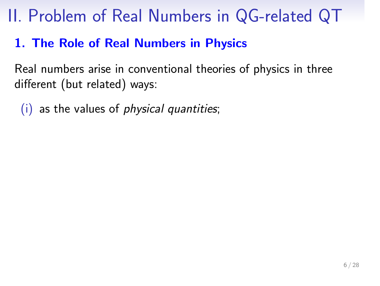# II. Problem of Real Numbers in QG-related QT

### 1. The Role of Real Numbers in Physics

Real numbers arise in conventional theories of physics in three different (but related) ways:

(i) as the values of physical quantities;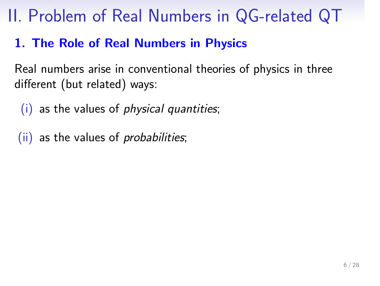## II. Problem of Real Numbers in QG-related QT

### 1. The Role of Real Numbers in Physics

Real numbers arise in conventional theories of physics in three different (but related) ways:

- (i) as the values of physical quantities;
- (ii) as the values of *probabilities*;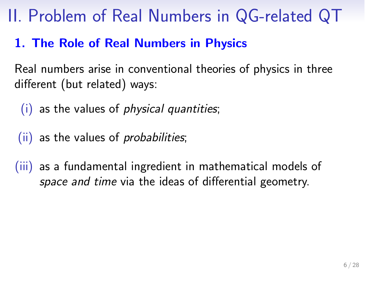## II. Problem of Real Numbers in QG-related QT

### 1. The Role of Real Numbers in Physics

Real numbers arise in conventional theories of physics in three different (but related) ways:

- (i) as the values of physical quantities;
- (ii) as the values of *probabilities*;
- (iii) as a fundamental ingredient in mathematical models of space and time via the ideas of differential geometry.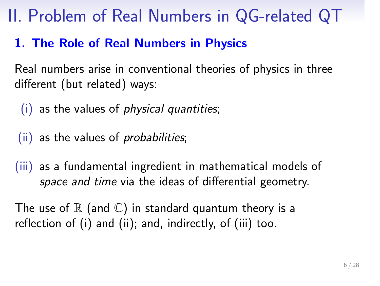## II. Problem of Real Numbers in QG-related QT

### 1. The Role of Real Numbers in Physics

Real numbers arise in conventional theories of physics in three different (but related) ways:

- (i) as the values of physical quantities;
- (ii) as the values of probabilities;
- (iii) as a fundamental ingredient in mathematical models of space and time via the ideas of differential geometry.

The use of  $\mathbb R$  (and  $\mathbb C$ ) in standard quantum theory is a reflection of (i) and (ii); and, indirectly, of (iii) too.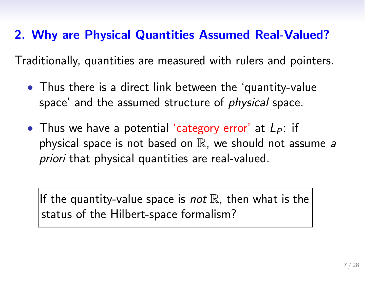### 2. Why are Physical Quantities Assumed Real-Valued?

Traditionally, quantities are measured with rulers and pointers.

- Thus there is a direct link between the 'quantity-value space' and the assumed structure of physical space.
- Thus we have a potential 'category error' at  $L_P$ : if physical space is not based on  $\mathbb R$ , we should not assume a priori that physical quantities are real-valued.

If the quantity-value space is *not*  $\mathbb R$ , then what is the status of the Hilbert-space formalism?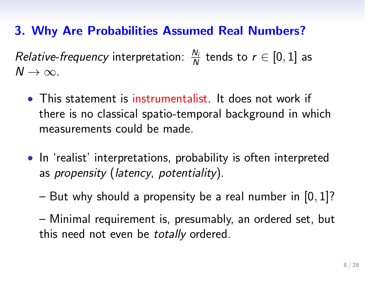### 3. Why Are Probabilities Assumed Real Numbers?

*Relative-frequency* interpretation:  $\frac{N_i}{N}$  tends to  $r \in [0,1]$  as  $N \rightarrow \infty$ .

- This statement is instrumentalist. It does not work if there is no classical spatio-temporal background in which measurements could be made.
- In 'realist' interpretations, probability is often interpreted as propensity (latency, potentiality).
	- But why should a propensity be a real number in  $[0, 1]$ ?
	- Minimal requirement is, presumably, an ordered set, but this need not even be totally ordered.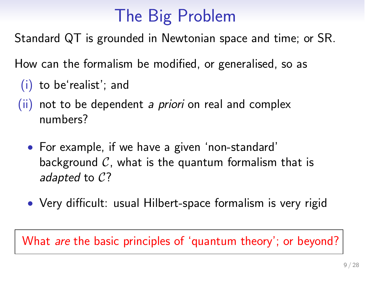# The Big Problem

Standard QT is grounded in Newtonian space and time; or SR.

How can the formalism be modified, or generalised, so as

- (i) to be'realist'; and
- $(ii)$  not to be dependent *a priori* on real and complex numbers?
	- For example, if we have a given 'non-standard' background  $C$ , what is the quantum formalism that is adapted to C?
	- Very difficult: usual Hilbert-space formalism is very rigid

What *are* the basic principles of 'quantum theory'; or beyond?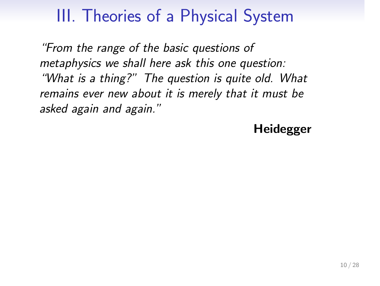# III. Theories of a Physical System

"From the range of the basic questions of metaphysics we shall here ask this one question: "What is a thing?" The question is quite old. What remains ever new about it is merely that it must be asked again and again."

Heidegger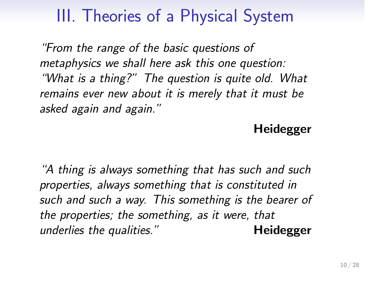# III. Theories of a Physical System

intion Real numbers in QG-related QT Formulation of theories of physics Introducing topoi Introducing formal languages Conclusions

"From the range of the basic questions of metaphysics we shall here ask this one question: "What is a thing?" The question is quite old. What remains ever new about it is merely that it must be asked again and again."

#### Heidegger

"A thing is always something that has such and such properties, always something that is constituted in such and such a way. This something is the bearer of the properties; the something, as it were, that underlies the qualities." Theidegger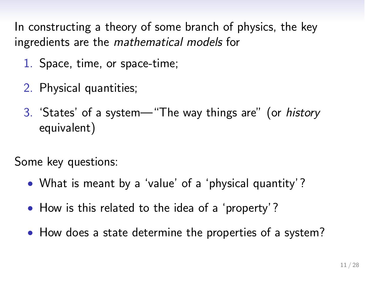In constructing a theory of some branch of physics, the key ingredients are the mathematical models for

- 1. Space, time, or space-time;
- 2. Physical quantities;
- 3. 'States' of a system—"The way things are" (or history equivalent)

Some key questions:

- What is meant by a 'value' of a 'physical quantity'?
- How is this related to the idea of a 'property'?
- How does a state determine the properties of a system?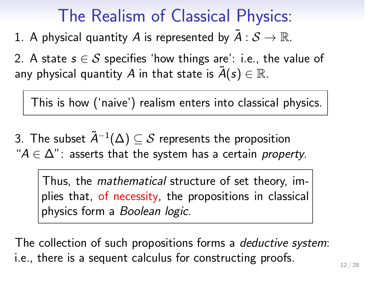## The Realism of Classical Physics:

1. A physical quantity A is represented by  $\tilde{A}: \mathcal{S} \to \mathbb{R}$ .

2. A state  $s \in S$  specifies 'how things are': i.e., the value of any physical quantity A in that state is  $\tilde{A}(s) \in \mathbb{R}$ .

This is how ('naive') realism enters into classical physics.

3. The subset  $\tilde{A}^{-1}(\Delta) \subseteq S$  represents the proposition " $A \in \Delta$ ": asserts that the system has a certain property.

Thus, the mathematical structure of set theory, implies that, of necessity, the propositions in classical physics form a Boolean logic.

The collection of such propositions forms a deductive system: i.e., there is a sequent calculus for constructing proofs.  $12 / 28$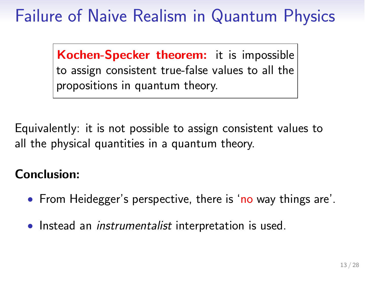# Failure of Naive Realism in Quantum Physics

Kochen-Specker theorem: it is impossible to assign consistent true-false values to all the propositions in quantum theory.

Equivalently: it is not possible to assign consistent values to all the physical quantities in a quantum theory.

### Conclusion:

- From Heidegger's perspective, there is 'no way things are'.
- Instead an instrumentalist interpretation is used.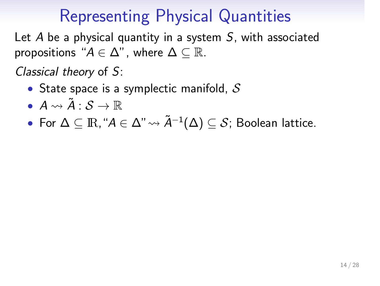## Representing Physical Quantities

Let  $A$  be a physical quantity in a system  $S$ , with associated propositions " $A \in \Delta$ ", where  $\Delta \subseteq \mathbb{R}$ .

Classical theory of S:

- State space is a symplectic manifold,  $S$
- $A \rightsquigarrow \tilde{A} : \mathcal{S} \rightarrow \mathbb{R}$
- For  $\Delta \subseteq \mathbb{R}$ , " $A \in \Delta$ "  $\leadsto \tilde{A}^{-1}(\Delta) \subseteq \mathcal{S}$ ; Boolean lattice.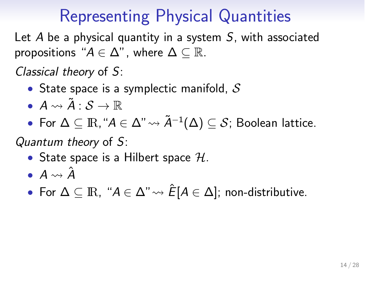## Representing Physical Quantities

Let  $A$  be a physical quantity in a system  $S$ , with associated propositions " $A \in \Delta$ ", where  $\Delta \subseteq \mathbb{R}$ .

Classical theory of S:

- State space is a symplectic manifold,  $S$
- $A \rightsquigarrow \tilde{A} : \mathcal{S} \rightarrow \mathbb{R}$
- For  $\Delta \subseteq \mathbb{R}$ , " $A \in \Delta$ "  $\leadsto \tilde{A}^{-1}(\Delta) \subseteq \mathcal{S}$ ; Boolean lattice.

Quantum theory of S:

- State space is a Hilbert space  $H$ .
- $A \rightsquigarrow \hat{A}$
- For  $\Delta \subseteq \mathbb{R}$ , " $A \in \Delta$ "  $\leadsto \hat{E}[A \in \Delta]$ ; non-distributive.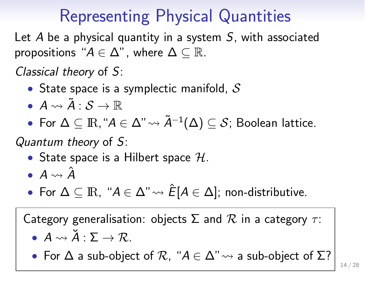elated QT Formulation of theories of physics Introducing topoi Introducing formal languages Conclusions

## Representing Physical Quantities

Let  $A$  be a physical quantity in a system  $S$ , with associated propositions " $A \in \Delta$ ", where  $\Delta \subseteq \mathbb{R}$ .

Classical theory of S:

- State space is a symplectic manifold,  $S$
- $A \rightsquigarrow \tilde{A} : \mathcal{S} \rightarrow \mathbb{R}$
- For  $\Delta \subseteq \mathbb{R}$ , " $A \in \Delta$ "  $\leadsto \tilde{A}^{-1}(\Delta) \subseteq \mathcal{S}$ ; Boolean lattice.

Quantum theory of S:

- State space is a Hilbert space  $H$ .
- $A \rightsquigarrow \hat{A}$
- For  $\Delta \subseteq \mathbb{R}$ , " $A \in \Delta$ "  $\rightarrow \hat{E}[A \in \Delta]$ ; non-distributive.

Category generalisation: objects  $\Sigma$  and  $\mathcal R$  in a category  $\tau$ :

- $A \leadsto \check{A} : \Sigma \to \mathcal{R}$ .
- For  $\Delta$  a sub-object of  $\mathcal{R}$ , " $A \in \Delta$ "  $\rightsquigarrow$  a sub-object of  $\Sigma$ ? 14 / 28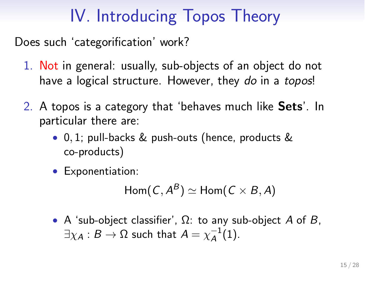# IV. Introducing Topos Theory

Does such 'categorification' work?

- 1. Not in general: usually, sub-objects of an object do not have a logical structure. However, they do in a topos!
- 2. A topos is a category that 'behaves much like Sets'. In particular there are:
	- 0, 1; pull-backs & push-outs (hence, products & co-products)
	- Exponentiation:

 $\text{Hom}(C, A^B) \simeq \text{Hom}(C \times B, A)$ 

• A 'sub-object classifier',  $\Omega$ : to any sub-object A of B,  $\exists \chi_{\mathcal{A}}: \mathcal{B} \rightarrow \Omega$  such that  $\mathcal{A} = \chi_{\mathcal{A}}^{-1}(1).$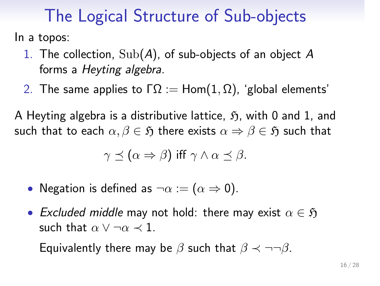## The Logical Structure of Sub-objects

roduction Real numbers in QG-related QT Formulation of theories of physics Introducing topoi Introducing formal languages Conclusions

In a topos:

- 1. The collection,  $\text{Sub}(A)$ , of sub-objects of an object  $A$ forms a Heyting algebra.
- 2. The same applies to  $\Gamma \Omega := \text{Hom}(1, \Omega)$ , 'global elements'

A Heyting algebra is a distributive lattice,  $\mathfrak{H}$ , with 0 and 1, and such that to each  $\alpha, \beta \in \mathfrak{H}$  there exists  $\alpha \Rightarrow \beta \in \mathfrak{H}$  such that

$$
\gamma \preceq (\alpha \Rightarrow \beta) \text{ iff } \gamma \wedge \alpha \preceq \beta.
$$

- Negation is defined as  $\neg \alpha := (\alpha \Rightarrow 0)$ .
- Excluded middle may not hold: there may exist  $\alpha \in \mathfrak{H}$ such that  $\alpha \lor \neg \alpha \prec 1$ .

Equivalently there may be  $\beta$  such that  $\beta \prec \neg \neg \beta$ .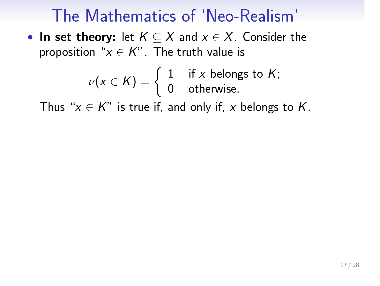# The Mathematics of 'Neo-Realism'

• In set theory: let  $K \subseteq X$  and  $x \in X$ . Consider the proposition " $x \in K$ ". The truth value is

$$
\nu(x \in K) = \begin{cases} 1 & \text{if } x \text{ belongs to } K; \\ 0 & \text{otherwise.} \end{cases}
$$

Thus " $x \in K$ " is true if, and only if, x belongs to K.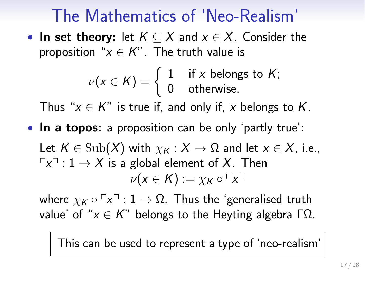## The Mathematics of 'Neo-Realism'

• In set theory: let  $K \subseteq X$  and  $x \in X$ . Consider the proposition " $x \in K$ ". The truth value is

$$
\nu(x \in K) = \begin{cases} 1 & \text{if } x \text{ belongs to } K; \\ 0 & \text{otherwise.} \end{cases}
$$

Thus " $x \in K$ " is true if, and only if, x belongs to K.

• In a topos: a proposition can be only 'partly true':

Let  $K \in \text{Sub}(X)$  with  $\chi_K : X \to \Omega$  and let  $x \in X$ , i.e.,  $\lceil x \rceil$  :  $1 \to X$  is a global element of X. Then  $\nu(x \in K) := \chi_K \circ \ulcorner x \urcorner$ 

where  $\chi_K \circ \ulcorner x \urcorner : 1 \to \Omega$ . Thus the 'generalised truth value' of " $x \in K$ " belongs to the Heyting algebra ΓΩ.

This can be used to represent a type of 'neo-realism'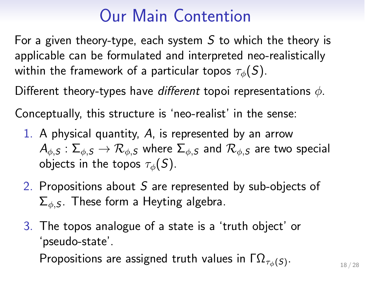#### QG-related QT Formulation of theories of physics Introducing topoi Introducing formal languages Conclusions

## Our Main Contention

For a given theory-type, each system  $S$  to which the theory is applicable can be formulated and interpreted neo-realistically within the framework of a particular topos  $\tau_{\phi}(S)$ .

Different theory-types have different topoi representations  $\phi$ .

Conceptually, this structure is 'neo-realist' in the sense:

- 1. A physical quantity, A, is represented by an arrow  $\mathcal{A}_{\phi,S}:\Sigma_{\phi,S}\to\mathcal{R}_{\phi,S}$  where  $\Sigma_{\phi,S}$  and  $\mathcal{R}_{\phi,S}$  are two special objects in the topos  $\tau_{\phi}(S)$ .
- 2. Propositions about  $S$  are represented by sub-objects of  $\Sigma_{\phi,S}$ . These form a Heyting algebra.
- 3. The topos analogue of a state is a 'truth object' or 'pseudo-state'. Propositions are assigned truth values in  $\Gamma \Omega_{\tau_{\phi}(S)}$ .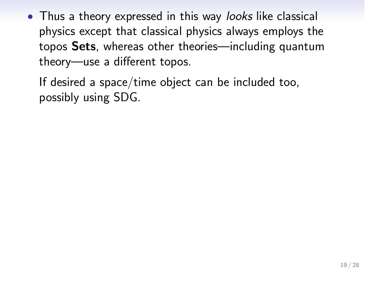• Thus a theory expressed in this way looks like classical physics except that classical physics always employs the topos Sets, whereas other theories—including quantum theory—use a different topos.

If desired a space/time object can be included too, possibly using SDG.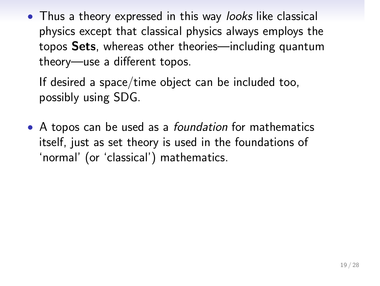• Thus a theory expressed in this way looks like classical physics except that classical physics always employs the topos Sets, whereas other theories—including quantum theory—use a different topos.

If desired a space/time object can be included too, possibly using SDG.

• A topos can be used as a *foundation* for mathematics itself, just as set theory is used in the foundations of 'normal' (or 'classical') mathematics.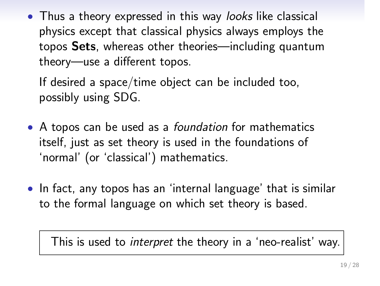QG-related QT Formulation of theories of physics Introducing topoi Introducing formal languages Conclusions

• Thus a theory expressed in this way looks like classical physics except that classical physics always employs the topos Sets, whereas other theories—including quantum theory—use a different topos.

If desired a space/time object can be included too, possibly using SDG.

- A topos can be used as a *foundation* for mathematics itself, just as set theory is used in the foundations of 'normal' (or 'classical') mathematics.
- In fact, any topos has an 'internal language' that is similar to the formal language on which set theory is based.

This is used to *interpret* the theory in a 'neo-realist' way.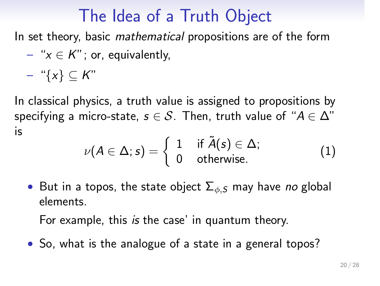## The Idea of a Truth Object

In set theory, basic mathematical propositions are of the form

– " $x \in K$ "; or, equivalently,

$$
- \ ^{\omega} \{x\} \subseteq K^{\omega}
$$

In classical physics, a truth value is assigned to propositions by specifying a micro-state,  $s \in S$ . Then, truth value of " $A \in \Delta$ " is

$$
\nu(A \in \Delta; s) = \left\{ \begin{array}{ll} 1 & \text{ if } \tilde{A}(s) \in \Delta; \\ 0 & \text{ otherwise.} \end{array} \right. \tag{1}
$$

• But in a topos, the state object  $\Sigma_{\phi,S}$  may have no global elements.

For example, this is the case' in quantum theory.

• So, what is the analogue of a state in a general topos?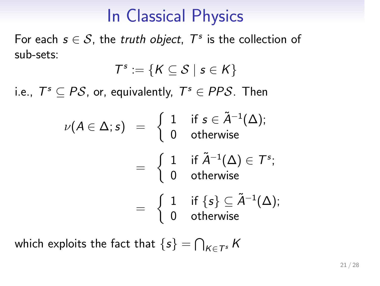# In Classical Physics

For each  $s \in S$ , the truth object,  $T^s$  is the collection of sub-sets:

$$
\mathcal{T}^s:=\{K\subseteq\mathcal{S}\mid s\in K\}
$$

i.e.,  $T^s \subseteq PS$ , or, equivalently,  $T^s \in PPS$ . Then

$$
\begin{array}{rcl} \nu(A\in \Delta;s) & = & \left\{ \begin{array}{ll} 1 & \text{if } s\in \tilde{A}^{-1}(\Delta); \\ \\ 0 & \text{otherwise} \end{array} \right. \\ & = & \left\{ \begin{array}{ll} 1 & \text{if } \tilde{A}^{-1}(\Delta)\in \mathcal{T}^s; \\ 0 & \text{otherwise} \end{array} \right. \\ & = & \left\{ \begin{array}{ll} 1 & \text{if } \{s\}\subseteq \tilde{A}^{-1}(\Delta); \\ 0 & \text{otherwise} \end{array} \right. \end{array}
$$

which exploits the fact that  $\{s\} = \bigcap_{K \in \mathcal{T}^s} K$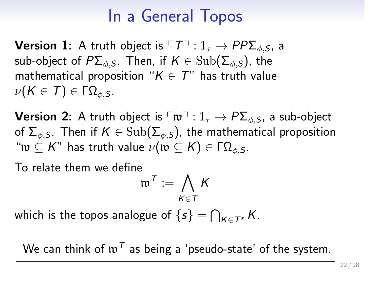### In a General Topos

**Version 1:** A truth object is  $\ulcorner \mathcal{T} \urcorner : 1_{\tau} \to PP\Sigma_{\phi,S}$ , a sub-object of  $P\Sigma_{\phi,S}$ . Then, if  $K \in \text{Sub}(\Sigma_{\phi,S})$ , the mathematical proposition " $K \in T$ " has truth value  $\nu(K \in T) \in \Gamma Ω_{\phi,S}.$ 

**Version 2:** A truth object is  $\ulcorner w \urcorner : 1_\tau \to P\Sigma_{\phi,S}$ , a sub-object of  $\Sigma_{\phi,S}$ . Then if  $K \in \text{Sub}(\Sigma_{\phi,S})$ , the mathematical proposition " $w \subseteq K$ " has truth value  $\nu(w \subseteq K) \in \Gamma \Omega_{\phi,S}$ .

To relate them we define

$$
\mathfrak{w}^{\mathcal{T}}:=\bigwedge_{K\in\mathcal{T}}K
$$

which is the topos analogue of  $\{s\} = \bigcap_{K \in \mathcal{T}^s} K$ .

We can think of  $w^T$  as being a 'pseudo-state' of the system.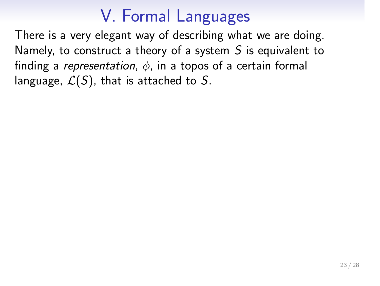# V. Formal Languages

There is a very elegant way of describing what we are doing. Namely, to construct a theory of a system  $S$  is equivalent to finding a *representation*,  $\phi$ , in a topos of a certain formal language,  $\mathcal{L}(S)$ , that is attached to S.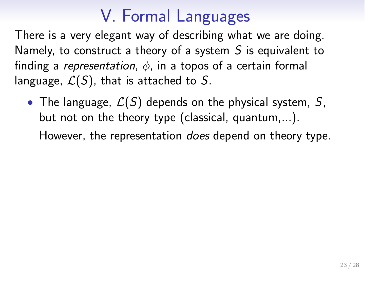## V. Formal Languages

There is a very elegant way of describing what we are doing. Namely, to construct a theory of a system  $S$  is equivalent to finding a representation,  $\phi$ , in a topos of a certain formal language,  $\mathcal{L}(S)$ , that is attached to S.

• The language,  $\mathcal{L}(S)$  depends on the physical system, S, but not on the theory type (classical, quantum,...). However, the representation does depend on theory type.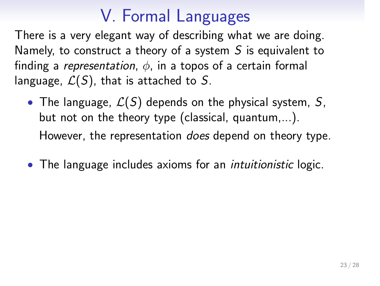## V. Formal Languages

There is a very elegant way of describing what we are doing. Namely, to construct a theory of a system  $S$  is equivalent to finding a *representation*,  $\phi$ , in a topos of a certain formal language,  $\mathcal{L}(S)$ , that is attached to S.

- The language,  $\mathcal{L}(S)$  depends on the physical system, S, but not on the theory type (classical, quantum,...). However, the representation does depend on theory type.
- The language includes axioms for an intuitionistic logic.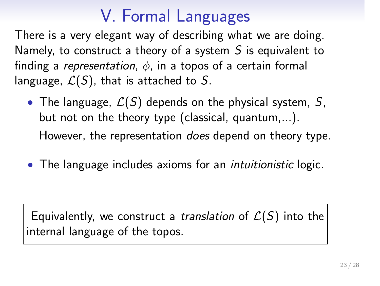# V. Formal Languages

There is a very elegant way of describing what we are doing. Namely, to construct a theory of a system  $S$  is equivalent to finding a *representation*,  $\phi$ , in a topos of a certain formal language,  $\mathcal{L}(S)$ , that is attached to S.

- The language,  $\mathcal{L}(S)$  depends on the physical system, S, but not on the theory type (classical, quantum,...). However, the representation does depend on theory type.
- The language includes axioms for an intuitionistic logic.

Equivalently, we construct a *translation* of  $\mathcal{L}(S)$  into the internal language of the topos.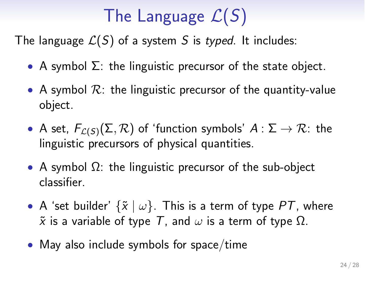# The Language  $\mathcal{L}(S)$

The language  $\mathcal{L}(S)$  of a system S is typed. It includes:

- A symbol  $\Sigma$ : the linguistic precursor of the state object.
- A symbol  $\mathcal{R}$ : the linguistic precursor of the quantity-value object.
- A set,  $F_{\mathcal{L}(S)}(\Sigma, \mathcal{R})$  of 'function symbols'  $A: \Sigma \to \mathcal{R}$ : the linguistic precursors of physical quantities.
- A symbol  $\Omega$ : the linguistic precursor of the sub-object classifier.
- A 'set builder'  $\{\tilde{x} \mid \omega\}$ . This is a term of type PT, where  $\tilde{x}$  is a variable of type T, and  $\omega$  is a term of type  $\Omega$ .
- May also include symbols for space/time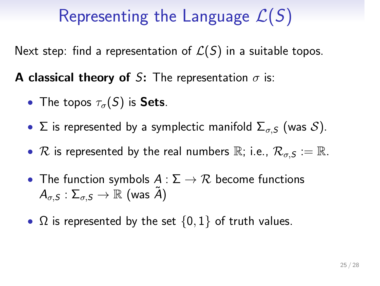# Representing the Language  $\mathcal{L}(S)$

Next step: find a representation of  $\mathcal{L}(S)$  in a suitable topos.

**A classical theory of S:** The representation  $\sigma$  is:

- The topos  $\tau_{\sigma}(S)$  is Sets.
- Σ is represented by a symplectic manifold  $\Sigma_{\sigma,S}$  (was  $S$ ).
- R is represented by the real numbers  $\mathbb{R}$ ; i.e.,  $\mathcal{R}_{\sigma,S} := \mathbb{R}$ .
- The function symbols  $A : \Sigma \to \mathcal{R}$  become functions  $A_{\sigma,S} : \Sigma_{\sigma,S} \rightarrow \mathbb{R}$  (was  $\tilde{A}$ )
- $\Omega$  is represented by the set  $\{0,1\}$  of truth values.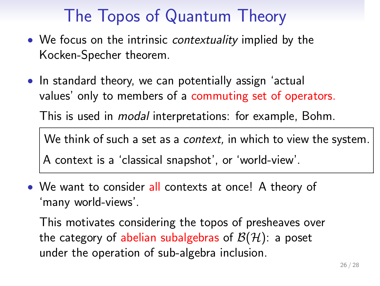## The Topos of Quantum Theory

- We focus on the intrinsic *contextuality* implied by the Kocken-Specher theorem.
- In standard theory, we can potentially assign 'actual values' only to members of a commuting set of operators.

This is used in modal interpretations: for example, Bohm.

We think of such a set as a *context*, in which to view the system. A context is a 'classical snapshot', or 'world-view'.

• We want to consider all contexts at once! A theory of 'many world-views'.

This motivates considering the topos of presheaves over the category of abelian subalgebras of  $\mathcal{B}(\mathcal{H})$ : a poset under the operation of sub-algebra inclusion.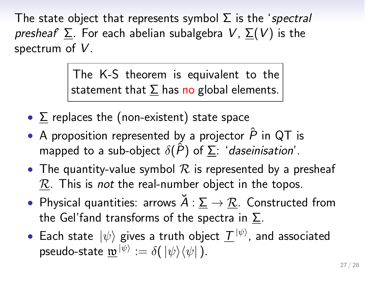#### related QT Formulation of theories of physics Introducing topoi Introducing formal languages Conclusions

The state object that represents symbol  $\Sigma$  is the 'spectral presheaf  $\Sigma$ . For each abelian subalgebra V,  $\Sigma(V)$  is the spectrum of  $V$ .

> The K-S theorem is equivalent to the statement that  $\Sigma$  has no global elements.

- $\Sigma$  replaces the (non-existent) state space
- A proposition represented by a projector  $\hat{P}$  in QT is mapped to a sub-object  $\delta(\hat{P})$  of  $\Sigma$ : 'daseinisation'.
- The quantity-value symbol  $R$  is represented by a presheaf  $R$ . This is not the real-number object in the topos.
- Physical quantities: arrows  $\breve{A} : \underline{\Sigma} \to \underline{\mathcal{R}}$ . Constructed from the Gel'fand transforms of the spectra in  $\Sigma$ .
- Each state  $|\psi\rangle$  gives a truth object  $\mathcal{I}^{|\psi\rangle}$ , and associated pseudo-state  $\underline{\mathbf{w}}^{|\psi\rangle} := \delta(|\psi\rangle\langle\psi|)$ .